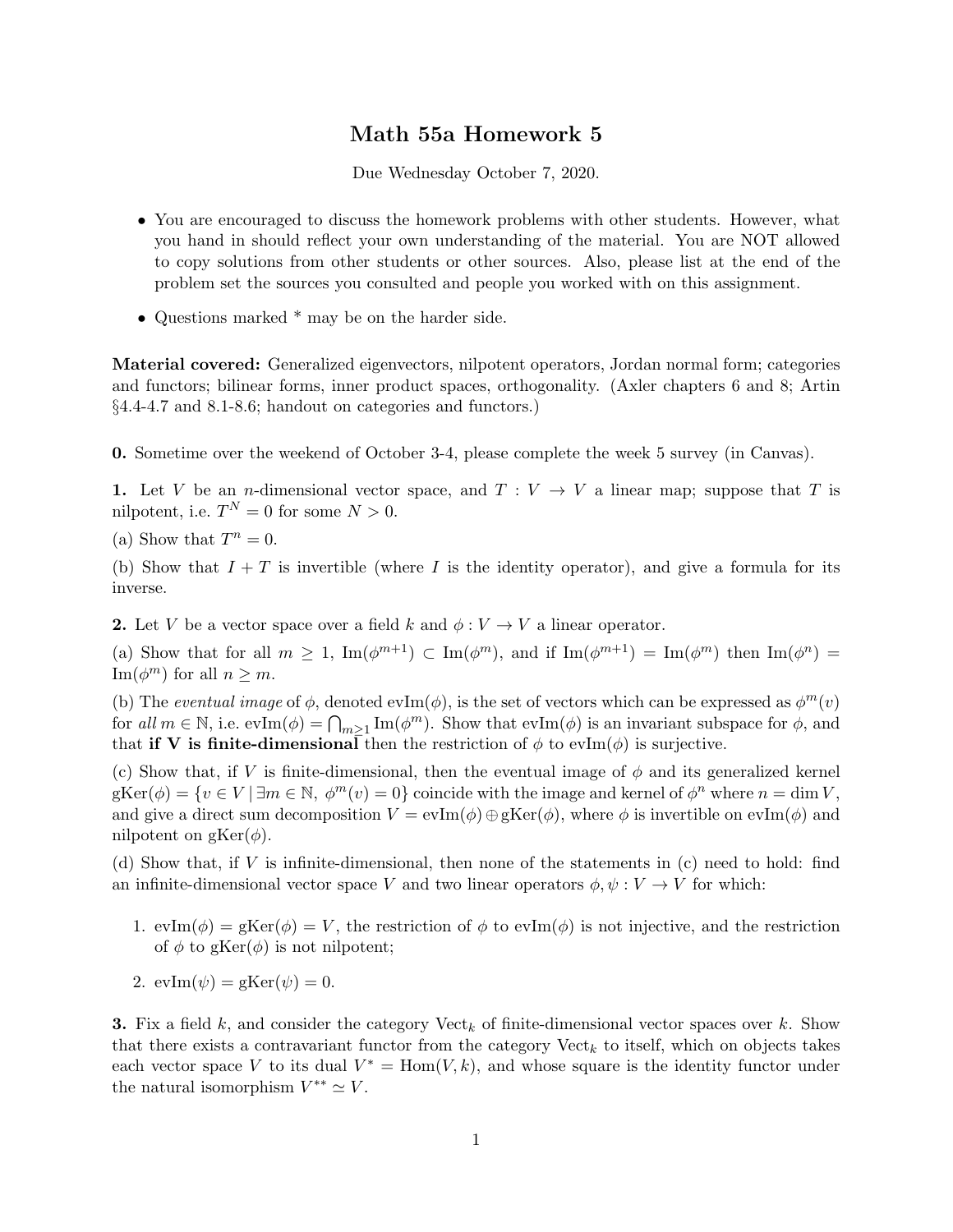## Math 55a Homework 5

Due Wednesday October 7, 2020.

- You are encouraged to discuss the homework problems with other students. However, what you hand in should reflect your own understanding of the material. You are NOT allowed to copy solutions from other students or other sources. Also, please list at the end of the problem set the sources you consulted and people you worked with on this assignment.
- Questions marked \* may be on the harder side.

Material covered: Generalized eigenvectors, nilpotent operators, Jordan normal form; categories and functors; bilinear forms, inner product spaces, orthogonality. (Axler chapters 6 and 8; Artin §4.4-4.7 and 8.1-8.6; handout on categories and functors.)

0. Sometime over the weekend of October 3-4, please complete the week 5 survey (in Canvas).

1. Let V be an *n*-dimensional vector space, and  $T: V \to V$  a linear map; suppose that T is nilpotent, i.e.  $T^N = 0$  for some  $N > 0$ .

(a) Show that  $T^n = 0$ .

(b) Show that  $I + T$  is invertible (where I is the identity operator), and give a formula for its inverse.

**2.** Let V be a vector space over a field k and  $\phi: V \to V$  a linear operator.

(a) Show that for all  $m \geq 1$ ,  $\text{Im}(\phi^{m+1}) \subset \text{Im}(\phi^m)$ , and if  $\text{Im}(\phi^{m+1}) = \text{Im}(\phi^m)$  then  $\text{Im}(\phi^n) =$ Im( $\phi^m$ ) for all  $n \geq m$ .

(b) The eventual image of  $\phi$ , denoted evIm( $\phi$ ), is the set of vectors which can be expressed as  $\phi^m(v)$ for all  $m \in \mathbb{N}$ , i.e.  $\mathrm{evIm}(\phi) = \bigcap_{m \geq 1} \mathrm{Im}(\phi^m)$ . Show that  $\mathrm{evIm}(\phi)$  is an invariant subspace for  $\phi$ , and that if V is finite-dimensional then the restriction of  $\phi$  to evIm( $\phi$ ) is surjective.

(c) Show that, if V is finite-dimensional, then the eventual image of  $\phi$  and its generalized kernel  $g\text{Ker}(\phi) = \{v \in V \mid \exists m \in \mathbb{N}, \ \phi^m(v) = 0\}$  coincide with the image and kernel of  $\phi^n$  where  $n = \dim V$ , and give a direct sum decomposition  $V = \text{evIm}(\phi) \oplus \text{gKer}(\phi)$ , where  $\phi$  is invertible on  $\text{evIm}(\phi)$  and nilpotent on  $gKer(\phi)$ .

(d) Show that, if V is infinite-dimensional, then none of the statements in (c) need to hold: find an infinite-dimensional vector space V and two linear operators  $\phi, \psi : V \to V$  for which:

- 1.  $evIm(\phi) = gKer(\phi) = V$ , the restriction of  $\phi$  to  $evIm(\phi)$  is not injective, and the restriction of  $\phi$  to gKer( $\phi$ ) is not nilpotent;
- 2.  $evIm(\psi) = gKer(\psi) = 0.$

**3.** Fix a field k, and consider the category Vect<sub>k</sub> of finite-dimensional vector spaces over k. Show that there exists a contravariant functor from the category  $Vect_k$  to itself, which on objects takes each vector space V to its dual  $V^* = \text{Hom}(V, k)$ , and whose square is the identity functor under the natural isomorphism  $V^{**} \simeq V$ .